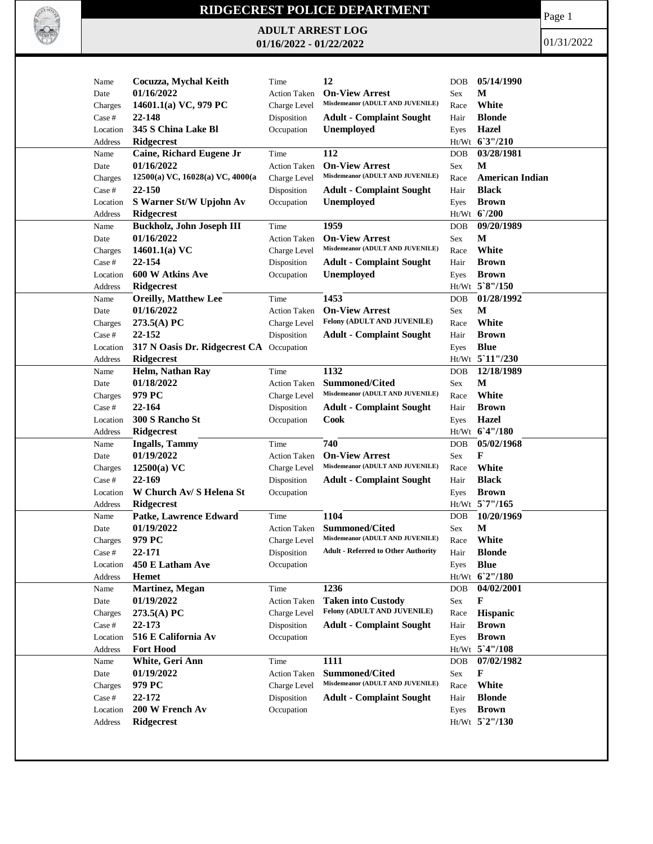

## **RIDGECREST POLICE DEPARTMENT**

**ADULT ARREST LOG 01/16/2022 - 01/22/2022**

Page 1

01/31/2022

| Name                | Cocuzza, Mychal Keith                    | Time                      | 12                                         | DOB        | 05/14/1990                   |
|---------------------|------------------------------------------|---------------------------|--------------------------------------------|------------|------------------------------|
| Date                | 01/16/2022                               | <b>Action Taken</b>       | <b>On-View Arrest</b>                      | Sex        | М                            |
| Charges             | 14601.1(a) VC, 979 PC                    | Charge Level              | Misdemeanor (ADULT AND JUVENILE)           | Race       | White                        |
| Case #              | 22-148                                   | Disposition               | <b>Adult - Complaint Sought</b>            | Hair       | <b>Blonde</b>                |
| Location            | 345 S China Lake Bl                      | Occupation                | <b>Unemployed</b>                          | Eyes       | Hazel                        |
| Address             | Ridgecrest                               |                           |                                            |            | Ht/Wt 63"/210                |
| Name                | Caine, Richard Eugene Jr                 | Time                      | 112                                        | <b>DOB</b> | 03/28/1981                   |
| Date                | 01/16/2022                               | <b>Action Taken</b>       | <b>On-View Arrest</b>                      | Sex        | $\mathbf M$                  |
| Charges             | 12500(a) VC, 16028(a) VC, 4000(a         | Charge Level              | Misdemeanor (ADULT AND JUVENILE)           | Race       | <b>American Indian</b>       |
| Case #              | 22-150                                   | Disposition               | <b>Adult - Complaint Sought</b>            | Hair       | <b>Black</b>                 |
| Location            | S Warner St/W Upjohn Av                  | Occupation                | <b>Unemployed</b>                          | Eyes       | <b>Brown</b>                 |
| Address             | Ridgecrest                               |                           |                                            |            | Ht/Wt 6'/200                 |
| Name                | <b>Buckholz, John Joseph III</b>         | Time                      | 1959                                       | DOB        | 09/20/1989                   |
| Date                | 01/16/2022                               | <b>Action Taken</b>       | <b>On-View Arrest</b>                      | Sex        | M                            |
| Charges             | 14601.1(a) $VC$                          | Charge Level              | Misdemeanor (ADULT AND JUVENILE)           | Race       | White                        |
| Case #              | 22-154                                   | Disposition               | <b>Adult - Complaint Sought</b>            | Hair       | <b>Brown</b>                 |
| Location            | 600 W Atkins Ave                         | Occupation                | <b>Unemployed</b>                          | Eyes       | <b>Brown</b>                 |
| Address             | <b>Ridgecrest</b>                        |                           |                                            |            | Ht/Wt 5`8"/150               |
| Name                | Oreilly, Matthew Lee                     | Time                      | 1453                                       | <b>DOB</b> | 01/28/1992                   |
| Date                | 01/16/2022                               | <b>Action Taken</b>       | <b>On-View Arrest</b>                      | Sex        | М                            |
| Charges             | 273.5(A) PC                              | Charge Level              | Felony (ADULT AND JUVENILE)                | Race       | White                        |
| Case #              | 22-152                                   | Disposition               | <b>Adult - Complaint Sought</b>            | Hair       | <b>Brown</b>                 |
| Location            | 317 N Oasis Dr. Ridgecrest CA Occupation |                           |                                            | Eyes       | <b>Blue</b>                  |
| Address             | <b>Ridgecrest</b>                        |                           |                                            |            | Ht/Wt 5 11"/230              |
| Name                | Helm, Nathan Ray                         | Time                      | 1132                                       | <b>DOB</b> | 12/18/1989                   |
| Date                | 01/18/2022                               | <b>Action Taken</b>       | <b>Summoned/Cited</b>                      | Sex        | M                            |
| Charges             | 979 PC                                   | Charge Level              | Misdemeanor (ADULT AND JUVENILE)           | Race       | White                        |
| Case #              | 22-164                                   | Disposition               | <b>Adult - Complaint Sought</b>            | Hair       | <b>Brown</b>                 |
| Location            | 300 S Rancho St                          | Occupation                | Cook                                       | Eyes       | Hazel                        |
| Address             | <b>Ridgecrest</b>                        |                           | 740                                        |            | Ht/Wt 6'4"/180<br>05/02/1968 |
| Name                | <b>Ingalls</b> , Tammy<br>01/19/2022     | Time                      | <b>On-View Arrest</b>                      | DOB        | F                            |
| Date                |                                          | <b>Action Taken</b>       | Misdemeanor (ADULT AND JUVENILE)           | Sex        |                              |
| Charges             | $12500(a)$ VC                            | Charge Level              |                                            | Race       | White                        |
| Case #              | 22-169                                   | Disposition               | <b>Adult - Complaint Sought</b>            | Hair       | <b>Black</b>                 |
| Location            | W Church Av/ S Helena St                 | Occupation                |                                            | Eyes       | <b>Brown</b>                 |
| Address             | <b>Ridgecrest</b>                        |                           |                                            |            | Ht/Wt 5'7"/165               |
| Name                | Patke, Lawrence Edward<br>01/19/2022     | Time                      | 1104<br><b>Summoned/Cited</b>              | <b>DOB</b> | 10/20/1969<br>M              |
| Date                |                                          | <b>Action Taken</b>       | Misdemeanor (ADULT AND JUVENILE)           | Sex        |                              |
| Charges             | 979 PC                                   | Charge Level              | <b>Adult - Referred to Other Authority</b> | Race       | White<br><b>Blonde</b>       |
| Case #              | 22-171<br>450 E Latham Ave               | Disposition<br>Occupation |                                            | Hair       | <b>Blue</b>                  |
| Location<br>Address | <b>Hemet</b>                             |                           |                                            | Eyes       | Ht/Wt 6'2"/180               |
| Name                | Martinez, Megan                          | Time                      | 1236                                       | DOB        | 04/02/2001                   |
| Date                | 01/19/2022                               | <b>Action Taken</b>       | <b>Taken into Custody</b>                  | Sex        | F                            |
| Charges             | $273.5(A)$ PC                            | Charge Level              | Felony (ADULT AND JUVENILE)                | Race       | Hispanic                     |
| Case #              | 22-173                                   | Disposition               | <b>Adult - Complaint Sought</b>            | Hair       | <b>Brown</b>                 |
| Location            | 516 E California Av                      | Occupation                |                                            | Eyes       | <b>Brown</b>                 |
| Address             | <b>Fort Hood</b>                         |                           |                                            |            | Ht/Wt 5'4"/108               |
| Name                | White, Geri Ann                          | Time                      | 1111                                       | DOB        | 07/02/1982                   |
| Date                | 01/19/2022                               | <b>Action Taken</b>       | Summoned/Cited                             | Sex        | F                            |
| Charges             | 979 PC                                   | Charge Level              | Misdemeanor (ADULT AND JUVENILE)           | Race       | White                        |
| Case #              | 22-172                                   | Disposition               | <b>Adult - Complaint Sought</b>            | Hair       | <b>Blonde</b>                |
| Location            | 200 W French Av                          | Occupation                |                                            | Eyes       | <b>Brown</b>                 |
| Address             | <b>Ridgecrest</b>                        |                           |                                            |            | Ht/Wt 5`2"/130               |
|                     |                                          |                           |                                            |            |                              |
|                     |                                          |                           |                                            |            |                              |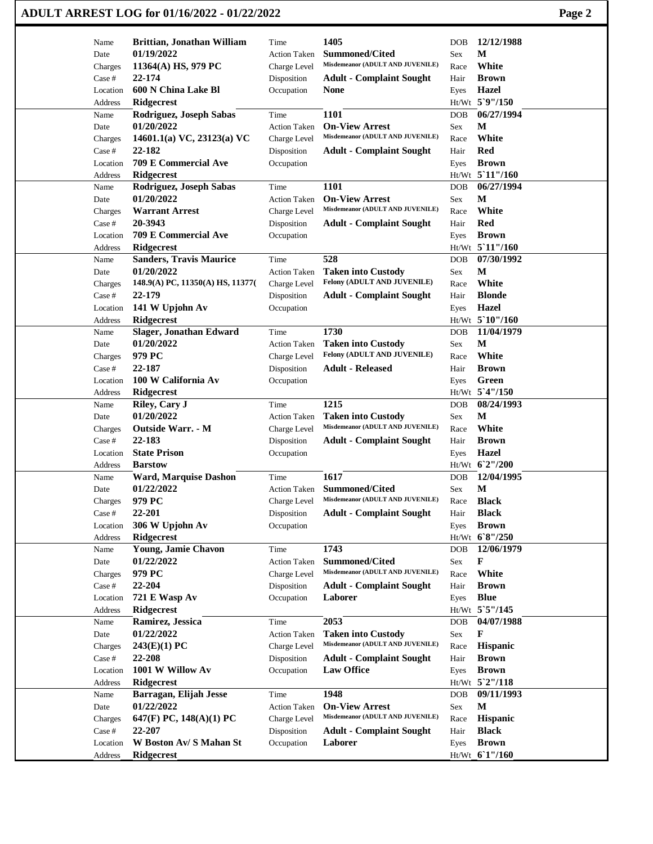## **ADULT ARREST LOG for 01/16/2022 - 01/22/2022 Page 2**

| Name               | Brittian, Jonathan William                   | Time                      | 1405                                                          | <b>DOB</b>   | 12/12/1988            |
|--------------------|----------------------------------------------|---------------------------|---------------------------------------------------------------|--------------|-----------------------|
| Date               | 01/19/2022                                   | <b>Action Taken</b>       | <b>Summoned/Cited</b><br>Misdemeanor (ADULT AND JUVENILE)     | Sex          | М<br>White            |
| Charges            | 11364(A) HS, 979 PC<br>22-174                | Charge Level              |                                                               | Race         |                       |
| Case #             | 600 N China Lake Bl                          | Disposition               | <b>Adult - Complaint Sought</b>                               | Hair         | <b>Brown</b><br>Hazel |
| Location           |                                              | Occupation                | <b>None</b>                                                   | Eyes         | Ht/Wt 5`9"/150        |
| Address<br>Name    | <b>Ridgecrest</b>                            | Time                      | 1101                                                          | <b>DOB</b>   | 06/27/1994            |
| Date               | Rodriguez, Joseph Sabas<br>01/20/2022        | <b>Action Taken</b>       | <b>On-View Arrest</b>                                         | Sex          | М                     |
|                    | 14601.1(a) VC, 23123(a) VC                   |                           | Misdemeanor (ADULT AND JUVENILE)                              |              | White                 |
| Charges            | 22-182                                       | Charge Level              |                                                               | Race<br>Hair | <b>Red</b>            |
| Case #<br>Location | 709 E Commercial Ave                         | Disposition<br>Occupation | <b>Adult - Complaint Sought</b>                               |              | <b>Brown</b>          |
| Address            | <b>Ridgecrest</b>                            |                           |                                                               | Eyes         | Ht/Wt 5'11"/160       |
| Name               | Rodriguez, Joseph Sabas                      | Time                      | 1101                                                          | DOB          | 06/27/1994            |
| Date               | 01/20/2022                                   | <b>Action Taken</b>       | <b>On-View Arrest</b>                                         | Sex          | M                     |
|                    | <b>Warrant Arrest</b>                        | Charge Level              | Misdemeanor (ADULT AND JUVENILE)                              | Race         | White                 |
| Charges<br>Case #  | 20-3943                                      | Disposition               | <b>Adult - Complaint Sought</b>                               | Hair         | Red                   |
| Location           | 709 E Commercial Ave                         | Occupation                |                                                               |              | <b>Brown</b>          |
|                    |                                              |                           |                                                               | Eyes         | Ht/Wt 5'11"/160       |
| Address            | Ridgecrest                                   |                           | 528                                                           |              | 07/30/1992            |
| Name               | <b>Sanders, Travis Maurice</b><br>01/20/2022 | Time                      |                                                               | <b>DOB</b>   | $\mathbf{M}$          |
| Date               | 148.9(A) PC, 11350(A) HS, 11377(             | <b>Action Taken</b>       | <b>Taken into Custody</b><br>Felony (ADULT AND JUVENILE)      | Sex          | White                 |
| Charges            |                                              | Charge Level              |                                                               | Race         |                       |
| Case #             | 22-179                                       | Disposition               | <b>Adult - Complaint Sought</b>                               | Hair         | <b>Blonde</b>         |
| Location           | 141 W Upjohn Av                              | Occupation                |                                                               | Eyes         | Hazel                 |
| Address            | Ridgecrest                                   |                           |                                                               |              | Ht/Wt 5`10"/160       |
| Name               | <b>Slager, Jonathan Edward</b>               | Time                      | 1730                                                          | <b>DOB</b>   | 11/04/1979            |
| Date               | 01/20/2022                                   | <b>Action Taken</b>       | <b>Taken into Custody</b><br>Felony (ADULT AND JUVENILE)      | Sex          | М                     |
| Charges            | 979 PC                                       | Charge Level              |                                                               | Race         | White                 |
| Case #             | 22-187                                       | Disposition               | <b>Adult - Released</b>                                       | Hair         | <b>Brown</b>          |
| Location           | 100 W California Av                          | Occupation                |                                                               | Eyes         | Green                 |
| Address            | <b>Ridgecrest</b>                            |                           |                                                               |              | Ht/Wt 5'4"/150        |
| Name               | Riley, Cary J                                | Time                      | 1215                                                          | <b>DOB</b>   | 08/24/1993            |
| Date               | 01/20/2022                                   | <b>Action Taken</b>       | <b>Taken into Custody</b><br>Misdemeanor (ADULT AND JUVENILE) | Sex          | M                     |
| Charges            | <b>Outside Warr. - M</b>                     | Charge Level              |                                                               | Race         | White                 |
| Case #             | 22-183                                       | Disposition               | <b>Adult - Complaint Sought</b>                               | Hair         | <b>Brown</b>          |
| Location           | <b>State Prison</b>                          | Occupation                |                                                               | Eyes         | Hazel                 |
| Address            | <b>Barstow</b>                               |                           |                                                               |              | Ht/Wt 62"/200         |
| Name               | <b>Ward, Marquise Dashon</b>                 | Time                      | 1617                                                          | <b>DOB</b>   | 12/04/1995            |
| Date               | 01/22/2022                                   | <b>Action Taken</b>       | <b>Summoned/Cited</b>                                         | Sex          | M                     |
| Charges            | 979 PC                                       | Charge Level              | Misdemeanor (ADULT AND JUVENILE)                              | Race         | <b>Black</b>          |
| Case #             | 22-201                                       | Disposition               | <b>Adult - Complaint Sought</b>                               | Hair         | <b>Black</b>          |
| Location           | 306 W Upjohn Av                              | Occupation                |                                                               | Eyes         | <b>Brown</b>          |
| Address            | Ridgecrest                                   |                           |                                                               |              | Ht/Wt 68"/250         |
| Name               | Young, Jamie Chavon                          | Time                      | 1743                                                          | DOB          | 12/06/1979            |
| Date               | 01/22/2022                                   | <b>Action Taken</b>       | <b>Summoned/Cited</b>                                         | Sex          | F                     |
| Charges            | 979 PC                                       | Charge Level              | Misdemeanor (ADULT AND JUVENILE)                              | Race         | White                 |
| Case #             | 22-204                                       | Disposition               | <b>Adult - Complaint Sought</b>                               | Hair         | <b>Brown</b>          |
| Location           | 721 E Wasp Av                                | Occupation                | Laborer                                                       | Eyes         | <b>Blue</b>           |
| Address            | <b>Ridgecrest</b>                            |                           |                                                               |              | Ht/Wt 5`5"/145        |
| Name               | Ramirez, Jessica                             | Time                      | 2053                                                          | DOB          | 04/07/1988            |
| Date               | 01/22/2022                                   | <b>Action Taken</b>       | <b>Taken into Custody</b>                                     | Sex          | F                     |
| Charges            | 243(E)(1) PC                                 | Charge Level              | Misdemeanor (ADULT AND JUVENILE)                              | Race         | Hispanic              |
| Case #             | 22-208                                       | Disposition               | <b>Adult - Complaint Sought</b>                               | Hair         | <b>Brown</b>          |
| Location           | 1001 W Willow Av                             | Occupation                | <b>Law Office</b>                                             | Eyes         | <b>Brown</b>          |
| Address            | <b>Ridgecrest</b>                            |                           |                                                               |              | Ht/Wt 5`2"/118        |
| Name               | Barragan, Elijah Jesse                       | Time                      | 1948                                                          | DOB          | 09/11/1993            |
| Date               | 01/22/2022                                   | <b>Action Taken</b>       | <b>On-View Arrest</b>                                         | Sex          | $\mathbf M$           |
| Charges            | 647(F) PC, $148(A)(1)$ PC                    | Charge Level              | Misdemeanor (ADULT AND JUVENILE)                              | Race         | Hispanic              |
| Case #             | 22-207                                       | Disposition               | <b>Adult - Complaint Sought</b>                               | Hair         | <b>Black</b>          |
| Location           | W Boston Av/ S Mahan St                      | Occupation                | Laborer                                                       | Eyes         | <b>Brown</b>          |
| Address            | <b>Ridgecrest</b>                            |                           |                                                               |              | Ht/Wt 61"/160         |